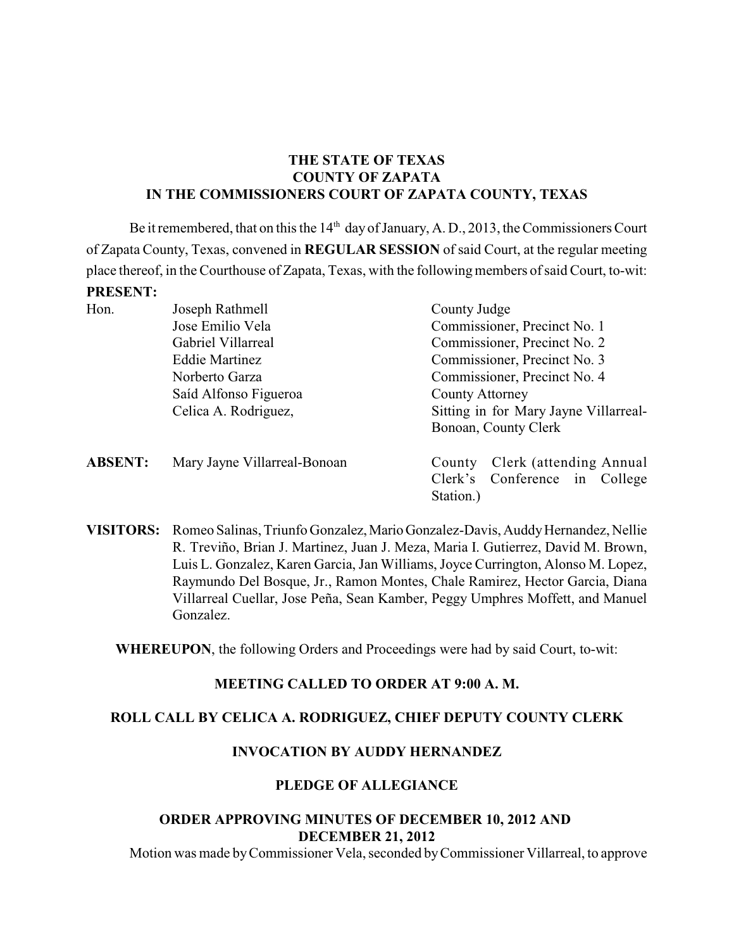## **THE STATE OF TEXAS COUNTY OF ZAPATA IN THE COMMISSIONERS COURT OF ZAPATA COUNTY, TEXAS**

Be it remembered, that on this the  $14<sup>th</sup>$  day of January, A. D., 2013, the Commissioners Court of Zapata County, Texas, convened in **REGULAR SESSION** of said Court, at the regular meeting place thereof, in the Courthouse of Zapata, Texas, with the following members of said Court, to-wit: **PRESENT:**

| Hon.           | Joseph Rathmell              | County Judge                                                       |  |  |
|----------------|------------------------------|--------------------------------------------------------------------|--|--|
|                | Jose Emilio Vela             | Commissioner, Precinct No. 1                                       |  |  |
|                | Gabriel Villarreal           | Commissioner, Precinct No. 2                                       |  |  |
|                | <b>Eddie Martinez</b>        | Commissioner, Precinct No. 3                                       |  |  |
|                | Norberto Garza               | Commissioner, Precinct No. 4                                       |  |  |
|                | Saíd Alfonso Figueroa        | County Attorney                                                    |  |  |
|                | Celica A. Rodriguez,         | Sitting in for Mary Jayne Villarreal-                              |  |  |
|                |                              | Bonoan, County Clerk                                               |  |  |
| <b>ABSENT:</b> | Mary Jayne Villarreal-Bonoan | Clerk (attending Annual<br>County<br>Clerk's Conference in College |  |  |
|                |                              | Station.)                                                          |  |  |

**VISITORS:** Romeo Salinas, Triunfo Gonzalez, Mario Gonzalez-Davis, Auddy Hernandez, Nellie R. Treviño, Brian J. Martinez, Juan J. Meza, Maria I. Gutierrez, David M. Brown, Luis L. Gonzalez, Karen Garcia, Jan Williams, Joyce Currington, Alonso M. Lopez, Raymundo Del Bosque, Jr., Ramon Montes, Chale Ramirez, Hector Garcia, Diana Villarreal Cuellar, Jose Peña, Sean Kamber, Peggy Umphres Moffett, and Manuel Gonzalez.

**WHEREUPON**, the following Orders and Proceedings were had by said Court, to-wit:

## **MEETING CALLED TO ORDER AT 9:00 A. M.**

## **ROLL CALL BY CELICA A. RODRIGUEZ, CHIEF DEPUTY COUNTY CLERK**

## **INVOCATION BY AUDDY HERNANDEZ**

#### **PLEDGE OF ALLEGIANCE**

### **ORDER APPROVING MINUTES OF DECEMBER 10, 2012 AND DECEMBER 21, 2012**

Motion was made by Commissioner Vela, seconded byCommissioner Villarreal, to approve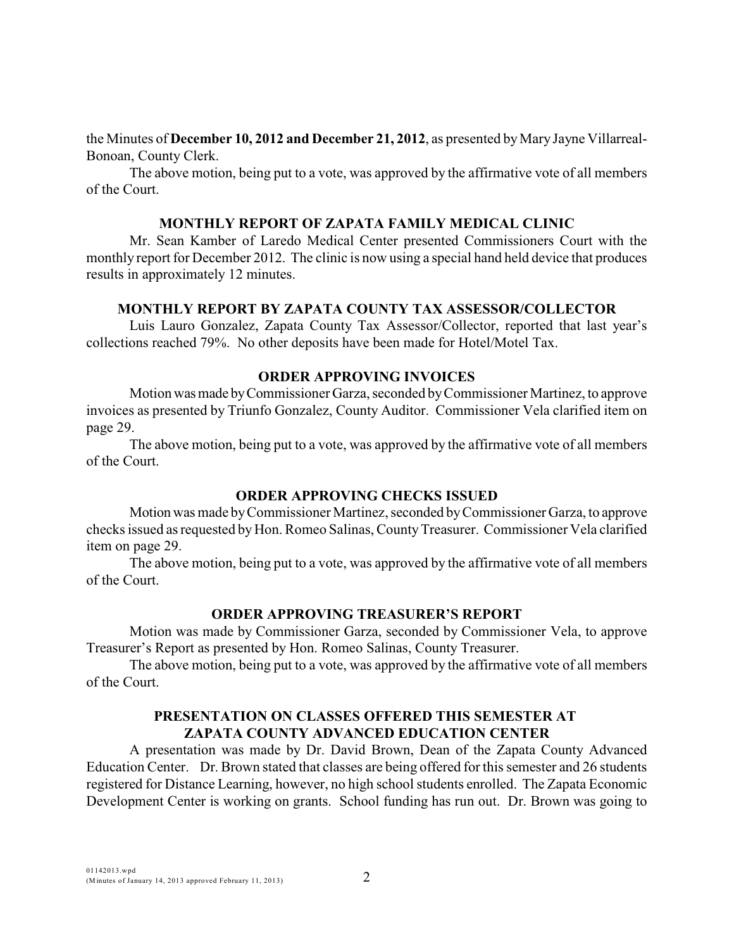the Minutes of **December 10, 2012 and December 21, 2012**, as presented by Mary Jayne Villarreal-Bonoan, County Clerk.

The above motion, being put to a vote, was approved by the affirmative vote of all members of the Court.

#### **MONTHLY REPORT OF ZAPATA FAMILY MEDICAL CLINIC**

Mr. Sean Kamber of Laredo Medical Center presented Commissioners Court with the monthly report for December 2012. The clinic is now using a special hand held device that produces results in approximately 12 minutes.

#### **MONTHLY REPORT BY ZAPATA COUNTY TAX ASSESSOR/COLLECTOR**

Luis Lauro Gonzalez, Zapata County Tax Assessor/Collector, reported that last year's collections reached 79%. No other deposits have been made for Hotel/Motel Tax.

#### **ORDER APPROVING INVOICES**

Motion was made by Commissioner Garza, seconded by Commissioner Martinez, to approve invoices as presented by Triunfo Gonzalez, County Auditor. Commissioner Vela clarified item on page 29.

The above motion, being put to a vote, was approved by the affirmative vote of all members of the Court.

#### **ORDER APPROVING CHECKS ISSUED**

Motion was made by Commissioner Martinez, seconded by Commissioner Garza, to approve checks issued as requested by Hon. Romeo Salinas, County Treasurer. Commissioner Vela clarified item on page 29.

The above motion, being put to a vote, was approved by the affirmative vote of all members of the Court.

### **ORDER APPROVING TREASURER'S REPORT**

Motion was made by Commissioner Garza, seconded by Commissioner Vela, to approve Treasurer's Report as presented by Hon. Romeo Salinas, County Treasurer.

The above motion, being put to a vote, was approved by the affirmative vote of all members of the Court.

#### **PRESENTATION ON CLASSES OFFERED THIS SEMESTER AT ZAPATA COUNTY ADVANCED EDUCATION CENTER**

A presentation was made by Dr. David Brown, Dean of the Zapata County Advanced Education Center. Dr. Brown stated that classes are being offered for this semester and 26 students registered for Distance Learning, however, no high school students enrolled. The Zapata Economic Development Center is working on grants. School funding has run out. Dr. Brown was going to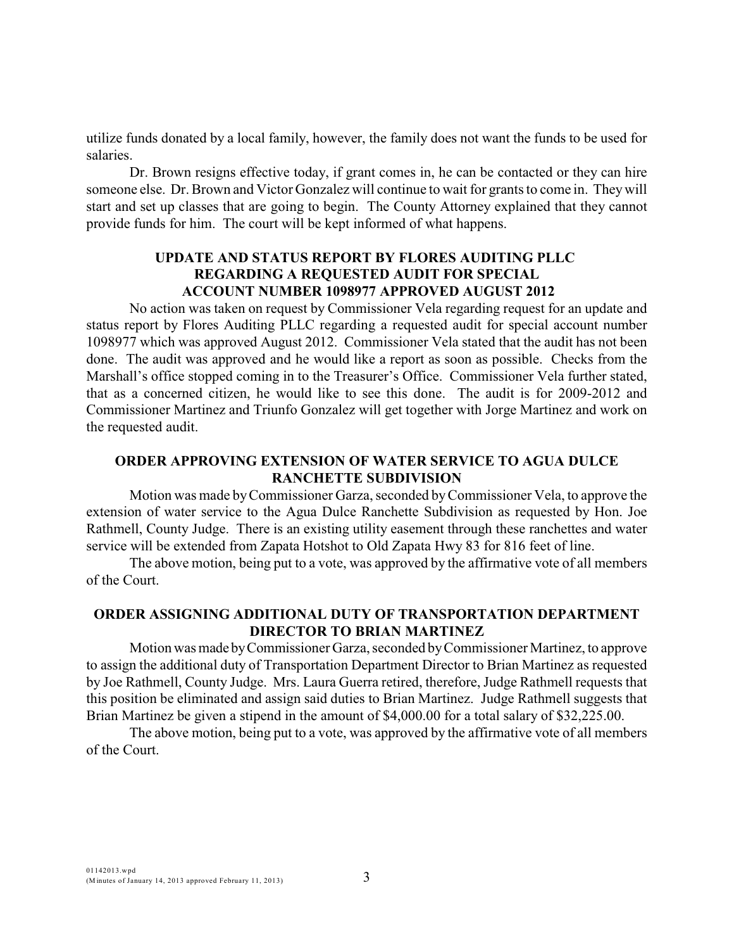utilize funds donated by a local family, however, the family does not want the funds to be used for salaries.

Dr. Brown resigns effective today, if grant comes in, he can be contacted or they can hire someone else. Dr. Brown and Victor Gonzalez will continue to wait for grants to come in. They will start and set up classes that are going to begin. The County Attorney explained that they cannot provide funds for him. The court will be kept informed of what happens.

## **UPDATE AND STATUS REPORT BY FLORES AUDITING PLLC REGARDING A REQUESTED AUDIT FOR SPECIAL ACCOUNT NUMBER 1098977 APPROVED AUGUST 2012**

No action was taken on request by Commissioner Vela regarding request for an update and status report by Flores Auditing PLLC regarding a requested audit for special account number 1098977 which was approved August 2012. Commissioner Vela stated that the audit has not been done. The audit was approved and he would like a report as soon as possible. Checks from the Marshall's office stopped coming in to the Treasurer's Office. Commissioner Vela further stated, that as a concerned citizen, he would like to see this done. The audit is for 2009-2012 and Commissioner Martinez and Triunfo Gonzalez will get together with Jorge Martinez and work on the requested audit.

## **ORDER APPROVING EXTENSION OF WATER SERVICE TO AGUA DULCE RANCHETTE SUBDIVISION**

Motion was made by Commissioner Garza, seconded by Commissioner Vela, to approve the extension of water service to the Agua Dulce Ranchette Subdivision as requested by Hon. Joe Rathmell, County Judge. There is an existing utility easement through these ranchettes and water service will be extended from Zapata Hotshot to Old Zapata Hwy 83 for 816 feet of line.

The above motion, being put to a vote, was approved by the affirmative vote of all members of the Court.

## **ORDER ASSIGNING ADDITIONAL DUTY OF TRANSPORTATION DEPARTMENT DIRECTOR TO BRIAN MARTINEZ**

Motion was made by Commissioner Garza, seconded by Commissioner Martinez, to approve to assign the additional duty of Transportation Department Director to Brian Martinez as requested by Joe Rathmell, County Judge. Mrs. Laura Guerra retired, therefore, Judge Rathmell requests that this position be eliminated and assign said duties to Brian Martinez. Judge Rathmell suggests that Brian Martinez be given a stipend in the amount of \$4,000.00 for a total salary of \$32,225.00.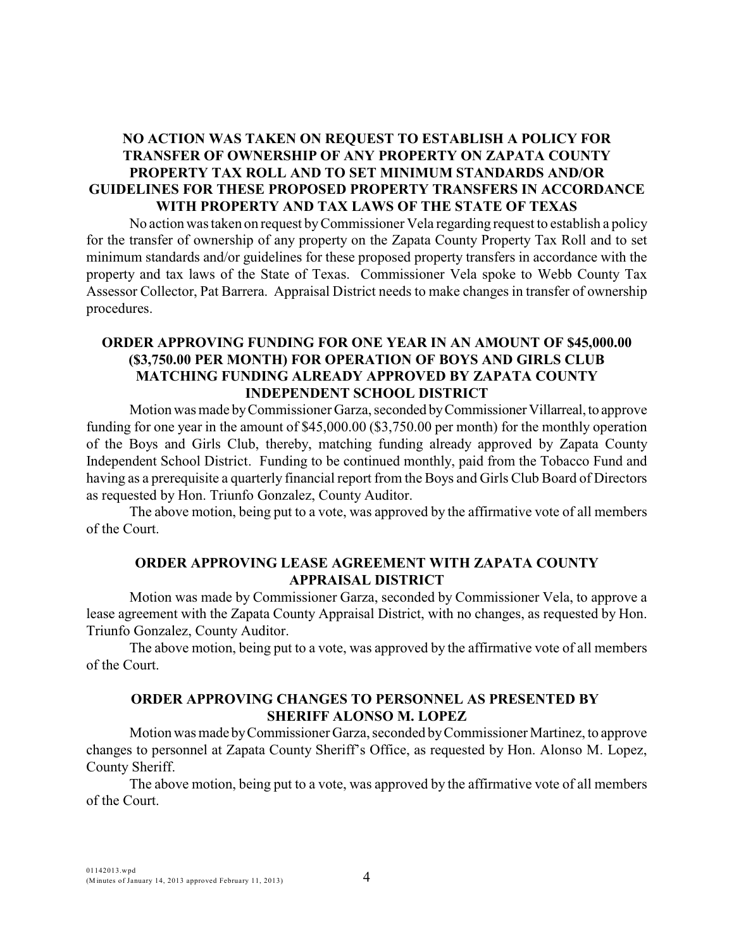## **NO ACTION WAS TAKEN ON REQUEST TO ESTABLISH A POLICY FOR TRANSFER OF OWNERSHIP OF ANY PROPERTY ON ZAPATA COUNTY PROPERTY TAX ROLL AND TO SET MINIMUM STANDARDS AND/OR GUIDELINES FOR THESE PROPOSED PROPERTY TRANSFERS IN ACCORDANCE WITH PROPERTY AND TAX LAWS OF THE STATE OF TEXAS**

No action was taken on request by Commissioner Vela regarding request to establish a policy for the transfer of ownership of any property on the Zapata County Property Tax Roll and to set minimum standards and/or guidelines for these proposed property transfers in accordance with the property and tax laws of the State of Texas. Commissioner Vela spoke to Webb County Tax Assessor Collector, Pat Barrera. Appraisal District needs to make changes in transfer of ownership procedures.

## **ORDER APPROVING FUNDING FOR ONE YEAR IN AN AMOUNT OF \$45,000.00 (\$3,750.00 PER MONTH) FOR OPERATION OF BOYS AND GIRLS CLUB MATCHING FUNDING ALREADY APPROVED BY ZAPATA COUNTY INDEPENDENT SCHOOL DISTRICT**

Motion was made by Commissioner Garza, seconded by Commissioner Villarreal, to approve funding for one year in the amount of \$45,000.00 (\$3,750.00 per month) for the monthly operation of the Boys and Girls Club, thereby, matching funding already approved by Zapata County Independent School District. Funding to be continued monthly, paid from the Tobacco Fund and having as a prerequisite a quarterly financial report from the Boys and Girls Club Board of Directors as requested by Hon. Triunfo Gonzalez, County Auditor.

The above motion, being put to a vote, was approved by the affirmative vote of all members of the Court.

### **ORDER APPROVING LEASE AGREEMENT WITH ZAPATA COUNTY APPRAISAL DISTRICT**

Motion was made by Commissioner Garza, seconded by Commissioner Vela, to approve a lease agreement with the Zapata County Appraisal District, with no changes, as requested by Hon. Triunfo Gonzalez, County Auditor.

The above motion, being put to a vote, was approved by the affirmative vote of all members of the Court.

# **ORDER APPROVING CHANGES TO PERSONNEL AS PRESENTED BY SHERIFF ALONSO M. LOPEZ**

Motion was made by Commissioner Garza, seconded by Commissioner Martinez, to approve changes to personnel at Zapata County Sheriff's Office, as requested by Hon. Alonso M. Lopez, County Sheriff.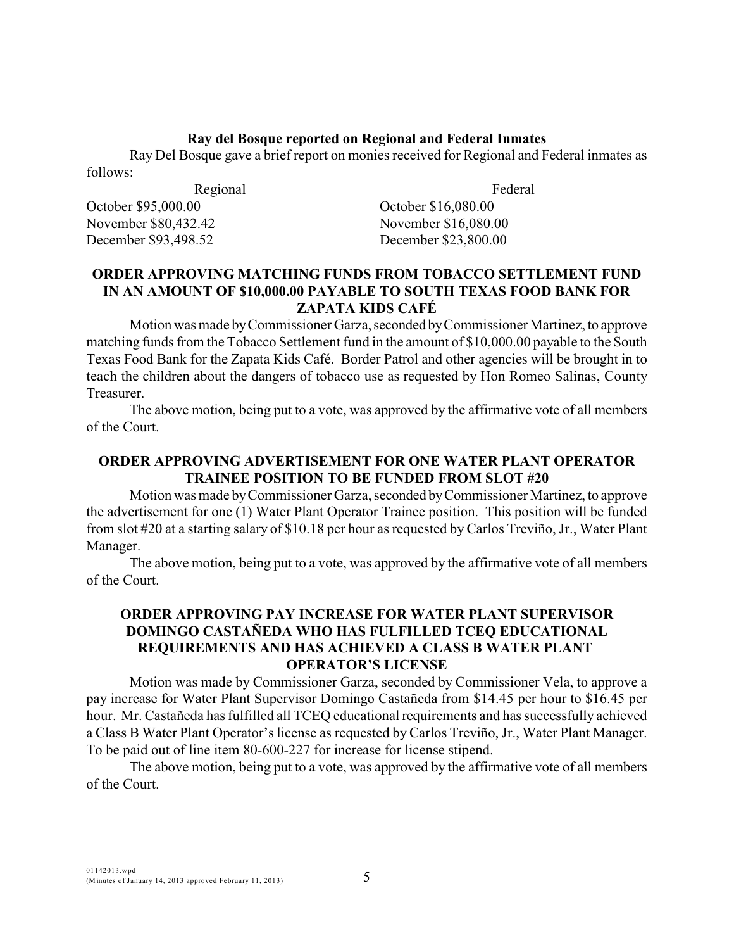#### **Ray del Bosque reported on Regional and Federal Inmates**

Ray Del Bosque gave a brief report on monies received for Regional and Federal inmates as follows:

Regional October \$95,000.00 November \$80,432.42 December \$93,498.52

Federal

October \$16,080.00 November \$16,080.00 December \$23,800.00

## **ORDER APPROVING MATCHING FUNDS FROM TOBACCO SETTLEMENT FUND IN AN AMOUNT OF \$10,000.00 PAYABLE TO SOUTH TEXAS FOOD BANK FOR ZAPATA KIDS CAFÉ**

Motion was made by Commissioner Garza, seconded by Commissioner Martinez, to approve matching funds from the Tobacco Settlement fund in the amount of \$10,000.00 payable to the South Texas Food Bank for the Zapata Kids Café. Border Patrol and other agencies will be brought in to teach the children about the dangers of tobacco use as requested by Hon Romeo Salinas, County Treasurer.

The above motion, being put to a vote, was approved by the affirmative vote of all members of the Court.

## **ORDER APPROVING ADVERTISEMENT FOR ONE WATER PLANT OPERATOR TRAINEE POSITION TO BE FUNDED FROM SLOT #20**

Motion was made by Commissioner Garza, seconded by Commissioner Martinez, to approve the advertisement for one (1) Water Plant Operator Trainee position. This position will be funded from slot #20 at a starting salary of \$10.18 per hour as requested by Carlos Treviño, Jr., Water Plant Manager.

The above motion, being put to a vote, was approved by the affirmative vote of all members of the Court.

## **ORDER APPROVING PAY INCREASE FOR WATER PLANT SUPERVISOR DOMINGO CASTAÑEDA WHO HAS FULFILLED TCEQ EDUCATIONAL REQUIREMENTS AND HAS ACHIEVED A CLASS B WATER PLANT OPERATOR'S LICENSE**

Motion was made by Commissioner Garza, seconded by Commissioner Vela, to approve a pay increase for Water Plant Supervisor Domingo Castañeda from \$14.45 per hour to \$16.45 per hour. Mr. Castañeda has fulfilled all TCEQ educational requirements and has successfully achieved a Class B Water Plant Operator's license as requested by Carlos Treviño, Jr., Water Plant Manager. To be paid out of line item 80-600-227 for increase for license stipend.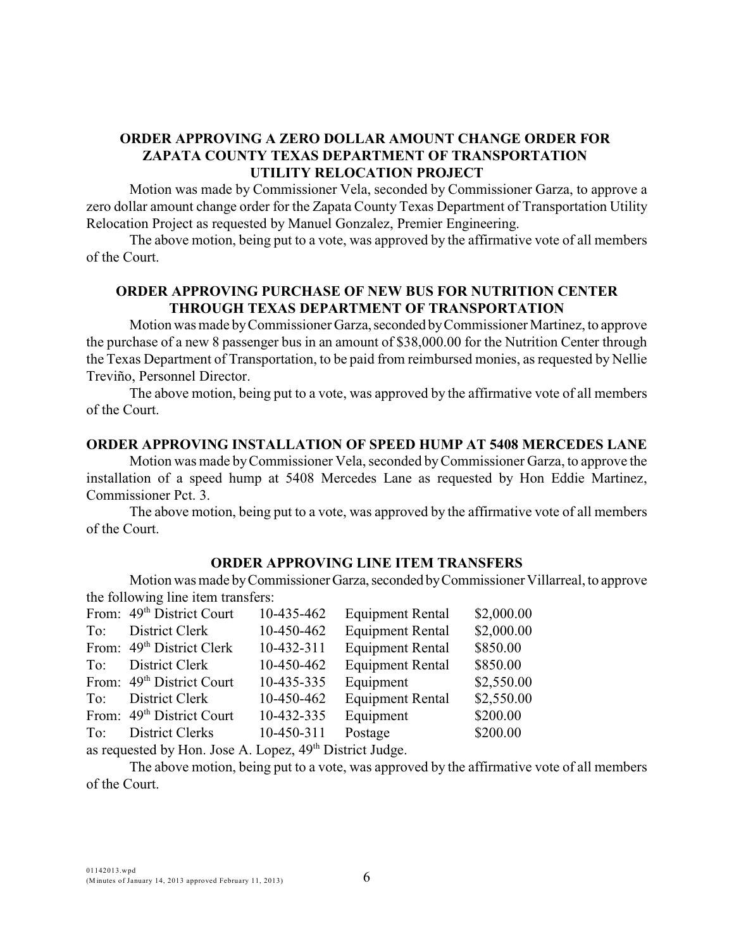## **ORDER APPROVING A ZERO DOLLAR AMOUNT CHANGE ORDER FOR ZAPATA COUNTY TEXAS DEPARTMENT OF TRANSPORTATION UTILITY RELOCATION PROJECT**

Motion was made by Commissioner Vela, seconded by Commissioner Garza, to approve a zero dollar amount change order for the Zapata County Texas Department of Transportation Utility Relocation Project as requested by Manuel Gonzalez, Premier Engineering.

The above motion, being put to a vote, was approved by the affirmative vote of all members of the Court.

# **ORDER APPROVING PURCHASE OF NEW BUS FOR NUTRITION CENTER THROUGH TEXAS DEPARTMENT OF TRANSPORTATION**

Motion was made by Commissioner Garza, seconded by Commissioner Martinez, to approve the purchase of a new 8 passenger bus in an amount of \$38,000.00 for the Nutrition Center through the Texas Department of Transportation, to be paid from reimbursed monies, as requested by Nellie Treviño, Personnel Director.

The above motion, being put to a vote, was approved by the affirmative vote of all members of the Court.

### **ORDER APPROVING INSTALLATION OF SPEED HUMP AT 5408 MERCEDES LANE**

Motion was made by Commissioner Vela, seconded by Commissioner Garza, to approve the installation of a speed hump at 5408 Mercedes Lane as requested by Hon Eddie Martinez, Commissioner Pct. 3.

The above motion, being put to a vote, was approved by the affirmative vote of all members of the Court.

#### **ORDER APPROVING LINE ITEM TRANSFERS**

Motion was made by Commissioner Garza, seconded by Commissioner Villarreal, to approve the following line item transfers:

|     | From: 49 <sup>th</sup> District Court | 10-435-462                     | <b>Equipment Rental</b> | \$2,000.00 |
|-----|---------------------------------------|--------------------------------|-------------------------|------------|
| To: | District Clerk                        | 10-450-462                     | <b>Equipment Rental</b> | \$2,000.00 |
|     | From: 49 <sup>th</sup> District Clerk | 10-432-311                     | <b>Equipment Rental</b> | \$850.00   |
|     | To: District Clerk                    | 10-450-462                     | <b>Equipment Rental</b> | \$850.00   |
|     | From: 49 <sup>th</sup> District Court | 10-435-335                     | Equipment               | \$2,550.00 |
|     | To: District Clerk                    | 10-450-462                     | <b>Equipment Rental</b> | \$2,550.00 |
|     | From: 49 <sup>th</sup> District Court | 10-432-335                     | Equipment               | \$200.00   |
|     | To: District Clerks                   | 10-450-311                     | Postage                 | \$200.00   |
|     |                                       | $\tau$ <i>solve i</i> $\tau$ i |                         |            |

as requested by Hon. Jose A. Lopez,  $49<sup>th</sup>$  District Judge.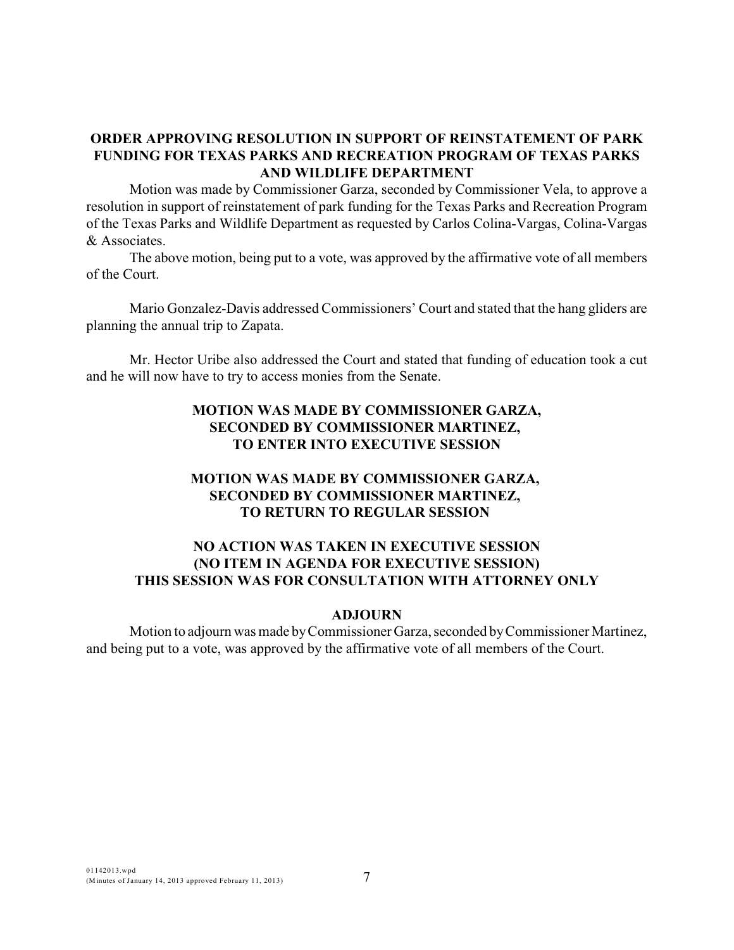## **ORDER APPROVING RESOLUTION IN SUPPORT OF REINSTATEMENT OF PARK FUNDING FOR TEXAS PARKS AND RECREATION PROGRAM OF TEXAS PARKS AND WILDLIFE DEPARTMENT**

Motion was made by Commissioner Garza, seconded by Commissioner Vela, to approve a resolution in support of reinstatement of park funding for the Texas Parks and Recreation Program of the Texas Parks and Wildlife Department as requested by Carlos Colina-Vargas, Colina-Vargas & Associates.

The above motion, being put to a vote, was approved by the affirmative vote of all members of the Court.

Mario Gonzalez-Davis addressed Commissioners' Court and stated that the hang gliders are planning the annual trip to Zapata.

Mr. Hector Uribe also addressed the Court and stated that funding of education took a cut and he will now have to try to access monies from the Senate.

## **MOTION WAS MADE BY COMMISSIONER GARZA, SECONDED BY COMMISSIONER MARTINEZ, TO ENTER INTO EXECUTIVE SESSION**

## **MOTION WAS MADE BY COMMISSIONER GARZA, SECONDED BY COMMISSIONER MARTINEZ, TO RETURN TO REGULAR SESSION**

## **NO ACTION WAS TAKEN IN EXECUTIVE SESSION (NO ITEM IN AGENDA FOR EXECUTIVE SESSION) THIS SESSION WAS FOR CONSULTATION WITH ATTORNEY ONLY**

#### **ADJOURN**

Motion to adjourn was made by Commissioner Garza, seconded by Commissioner Martinez, and being put to a vote, was approved by the affirmative vote of all members of the Court.